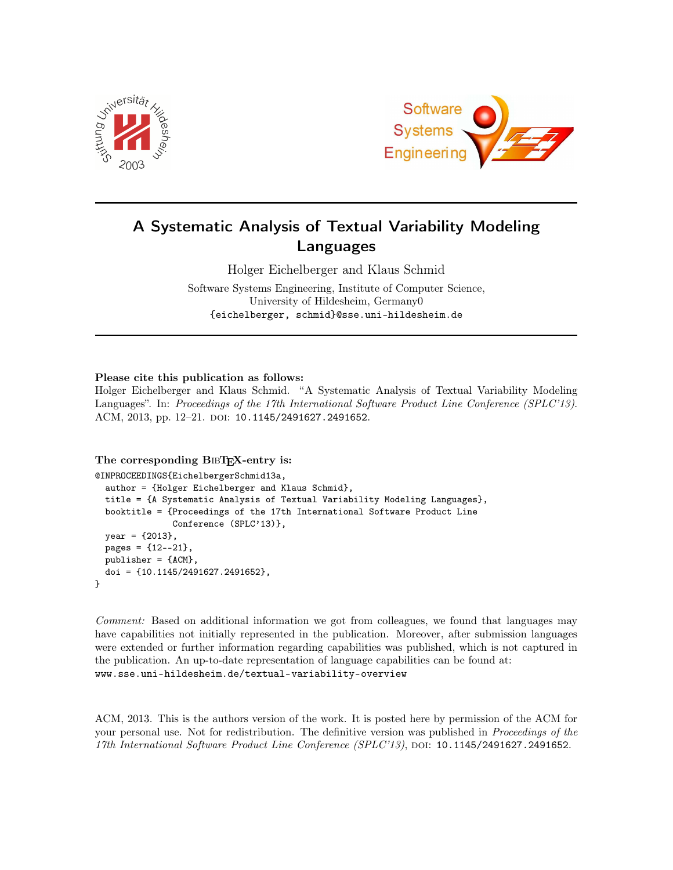



## A Systematic Analysis of Textual Variability Modeling Languages

Holger Eichelberger and Klaus Schmid

Software Systems Engineering, Institute of Computer Science, University of Hildesheim, Germany0 {eichelberger, schmid}@sse.uni-hildesheim.de

#### Please cite this publication as follows:

Holger Eichelberger and Klaus Schmid. "A Systematic Analysis of Textual Variability Modeling Languages". In: Proceedings of the 17th International Software Product Line Conference (SPLC'13). ACM, 2013, pp. 12-21. DOI: 10.1145/2491627.2491652.

#### The corresponding BIBT<sub>E</sub>X-entry is:

```
@INPROCEEDINGS{EichelbergerSchmid13a,
  author = {Holger Eichelberger and Klaus Schmid},
  title = {A Systematic Analysis of Textual Variability Modeling Languages},
 booktitle = {Proceedings of the 17th International Software Product Line
               Conference (SPLC'13)},
 year = {2013},
 pages = {12--21},
 publisher = {ACM},
 doi = {10.1145/2491627.2491652},
}
```
Comment: Based on additional information we got from colleagues, we found that languages may have capabilities not initially represented in the publication. Moreover, after submission languages were extended or further information regarding capabilities was published, which is not captured in the publication. An up-to-date representation of language capabilities can be found at: www.sse.uni-hildesheim.de/textual-variability-overview

ACM, 2013. This is the authors version of the work. It is posted here by permission of the ACM for your personal use. Not for redistribution. The definitive version was published in Proceedings of the 17th International Software Product Line Conference (SPLC'13), DOI: 10.1145/2491627.2491652.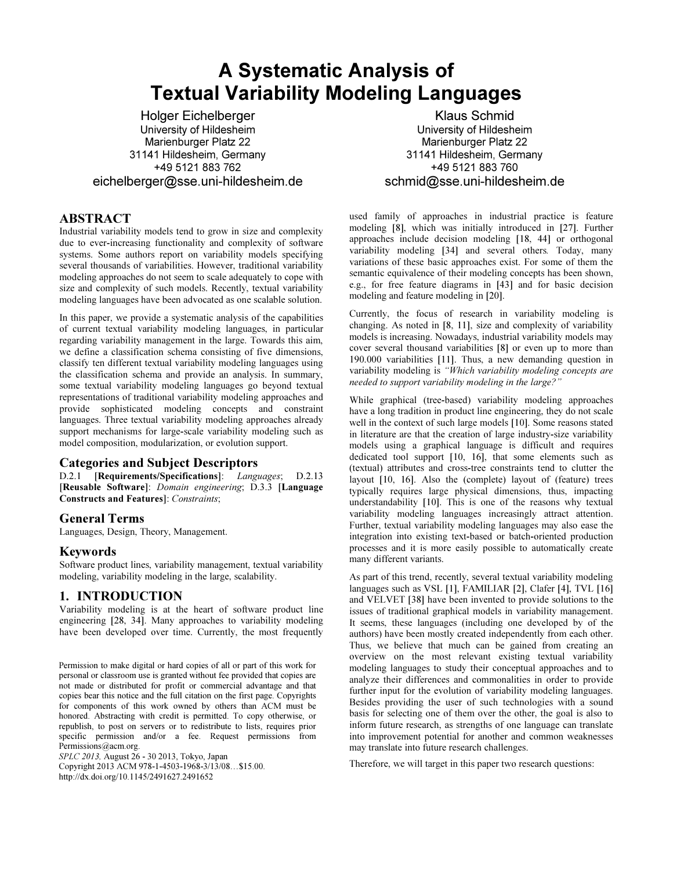# A Systematic Analysis of Textual Variability Modeling Languages

Holger Eichelberger University of Hildesheim Marienburger Platz 22 31141 Hildesheim, Germany +49 5121 883 762 eichelberger@sse.uni-hildesheim.de

## ABSTRACT

Industrial variability models tend to grow in size and complexity due to ever-increasing functionality and complexity of software systems. Some authors report on variability models specifying several thousands of variabilities. However, traditional variability modeling approaches do not seem to scale adequately to cope with size and complexity of such models. Recently, textual variability modeling languages have been advocated as one scalable solution.

In this paper, we provide a systematic analysis of the capabilities of current textual variability modeling languages, in particular regarding variability management in the large. Towards this aim, we define a classification schema consisting of five dimensions, classify ten different textual variability modeling languages using the classification schema and provide an analysis. In summary, some textual variability modeling languages go beyond textual representations of traditional variability modeling approaches and provide sophisticated modeling concepts and constraint languages. Three textual variability modeling approaches already support mechanisms for large-scale variability modeling such as model composition, modularization, or evolution support.

## Categories and Subject Descriptors

D.2.1 [Requirements/Specifications]: *Languages*; D.2.13 [Reusable Software]: *Domain engineering*; D.3.3 [Language Constructs and Features]: *Constraints*;

## General Terms

Languages, Design, Theory, Management.

## Keywords

Software product lines, variability management, textual variability modeling, variability modeling in the large, scalability.

## 1. INTRODUCTION

Variability modeling is at the heart of software product line engineering [28, 34]. Many approaches to variability modeling have been developed over time. Currently, the most frequently

Permission to make digital or hard copies of all or part of this work for personal or classroom use is granted without fee provided that copies are not made or distributed for profit or commercial advantage and that copies bear this notice and the full citation on the first page. Copyrights for components of this work owned by others than ACM must be honored. Abstracting with credit is permitted. To copy otherwise, or republish, to post on servers or to redistribute to lists, requires prior specific permission and/or a fee. Request permissions from Permissions@acm.org.

SPLC 2013, August 26 - 30 2013, Tokyo, Japan Copyright 2013 ACM 978-1-4503-1968-3/13/08…\$15.00. http://dx.doi.org/10.1145/2491627.2491652

Klaus Schmid University of Hildesheim Marienburger Platz 22 31141 Hildesheim, Germany +49 5121 883 760 schmid@sse.uni-hildesheim.de

used family of approaches in industrial practice is feature modeling [8], which was initially introduced in [27]. Further approaches include decision modeling [18, 44] or orthogonal variability modeling [34] and several others*.* Today, many variations of these basic approaches exist. For some of them the semantic equivalence of their modeling concepts has been shown, e.g., for free feature diagrams in [43] and for basic decision modeling and feature modeling in [20].

Currently, the focus of research in variability modeling is changing. As noted in [8, 11], size and complexity of variability models is increasing. Nowadays, industrial variability models may cover several thousand variabilities [8] or even up to more than 190.000 variabilities [11]. Thus, a new demanding question in variability modeling is *"Which variability modeling concepts are needed to support variability modeling in the large?"* 

While graphical (tree-based) variability modeling approaches have a long tradition in product line engineering, they do not scale well in the context of such large models [10]. Some reasons stated in literature are that the creation of large industry-size variability models using a graphical language is difficult and requires dedicated tool support [10, 16], that some elements such as (textual) attributes and cross-tree constraints tend to clutter the layout [10, 16]. Also the (complete) layout of (feature) trees typically requires large physical dimensions, thus, impacting understandability [10]. This is one of the reasons why textual variability modeling languages increasingly attract attention. Further, textual variability modeling languages may also ease the integration into existing text-based or batch-oriented production processes and it is more easily possible to automatically create many different variants.

As part of this trend, recently, several textual variability modeling languages such as VSL [1], FAMILIAR [2], Clafer [4], TVL [16] and VELVET [38] have been invented to provide solutions to the issues of traditional graphical models in variability management. It seems, these languages (including one developed by of the authors) have been mostly created independently from each other. Thus, we believe that much can be gained from creating an overview on the most relevant existing textual variability modeling languages to study their conceptual approaches and to analyze their differences and commonalities in order to provide further input for the evolution of variability modeling languages. Besides providing the user of such technologies with a sound basis for selecting one of them over the other, the goal is also to inform future research, as strengths of one language can translate into improvement potential for another and common weaknesses may translate into future research challenges.

Therefore, we will target in this paper two research questions: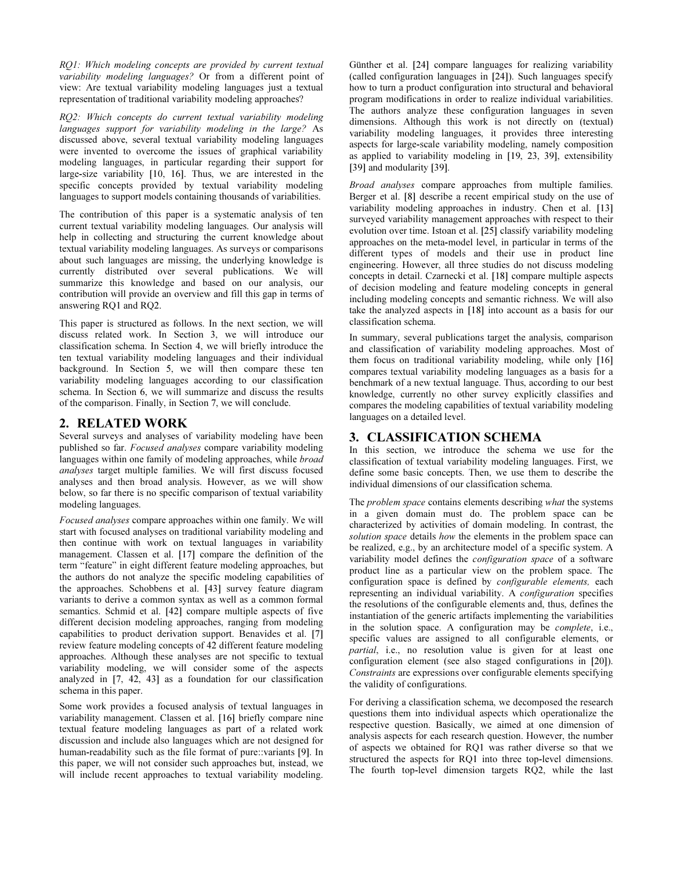*RQ1: Which modeling concepts are provided by current textual variability modeling languages?* Or from a different point of view: Are textual variability modeling languages just a textual representation of traditional variability modeling approaches?

*RQ2: Which concepts do current textual variability modeling languages support for variability modeling in the large?* As discussed above, several textual variability modeling languages were invented to overcome the issues of graphical variability modeling languages, in particular regarding their support for large-size variability [10, 16]. Thus, we are interested in the specific concepts provided by textual variability modeling languages to support models containing thousands of variabilities.

The contribution of this paper is a systematic analysis of ten current textual variability modeling languages. Our analysis will help in collecting and structuring the current knowledge about textual variability modeling languages. As surveys or comparisons about such languages are missing, the underlying knowledge is currently distributed over several publications. We will summarize this knowledge and based on our analysis, our contribution will provide an overview and fill this gap in terms of answering RQ1 and RQ2.

This paper is structured as follows. In the next section, we will discuss related work. In Section 3, we will introduce our classification schema. In Section 4, we will briefly introduce the ten textual variability modeling languages and their individual background. In Section 5, we will then compare these ten variability modeling languages according to our classification schema. In Section 6, we will summarize and discuss the results of the comparison. Finally, in Section 7, we will conclude.

#### 2. RELATED WORK

Several surveys and analyses of variability modeling have been published so far. *Focused analyses* compare variability modeling languages within one family of modeling approaches, while *broad analyses* target multiple families. We will first discuss focused analyses and then broad analysis. However, as we will show below, so far there is no specific comparison of textual variability modeling languages.

*Focused analyses* compare approaches within one family. We will start with focused analyses on traditional variability modeling and then continue with work on textual languages in variability management. Classen et al. [17] compare the definition of the term "feature" in eight different feature modeling approaches, but the authors do not analyze the specific modeling capabilities of the approaches. Schobbens et al. [43] survey feature diagram variants to derive a common syntax as well as a common formal semantics. Schmid et al. [42] compare multiple aspects of five different decision modeling approaches, ranging from modeling capabilities to product derivation support. Benavides et al. [7] review feature modeling concepts of 42 different feature modeling approaches. Although these analyses are not specific to textual variability modeling, we will consider some of the aspects analyzed in [7, 42, 43] as a foundation for our classification schema in this paper.

Some work provides a focused analysis of textual languages in variability management. Classen et al. [16] briefly compare nine textual feature modeling languages as part of a related work discussion and include also languages which are not designed for human-readability such as the file format of pure::variants [9]. In this paper, we will not consider such approaches but, instead, we will include recent approaches to textual variability modeling.

Günther et al. [24] compare languages for realizing variability (called configuration languages in [24]). Such languages specify how to turn a product configuration into structural and behavioral program modifications in order to realize individual variabilities. The authors analyze these configuration languages in seven dimensions. Although this work is not directly on (textual) variability modeling languages, it provides three interesting aspects for large-scale variability modeling, namely composition as applied to variability modeling in [19, 23, 39], extensibility [39] and modularity [39].

*Broad analyses* compare approaches from multiple families. Berger et al. [8] describe a recent empirical study on the use of variability modeling approaches in industry. Chen et al. [13] surveyed variability management approaches with respect to their evolution over time. Istoan et al. [25] classify variability modeling approaches on the meta-model level, in particular in terms of the different types of models and their use in product line engineering. However, all three studies do not discuss modeling concepts in detail. Czarnecki et al. [18] compare multiple aspects of decision modeling and feature modeling concepts in general including modeling concepts and semantic richness. We will also take the analyzed aspects in [18] into account as a basis for our classification schema.

In summary, several publications target the analysis, comparison and classification of variability modeling approaches. Most of them focus on traditional variability modeling, while only [16] compares textual variability modeling languages as a basis for a benchmark of a new textual language. Thus, according to our best knowledge, currently no other survey explicitly classifies and compares the modeling capabilities of textual variability modeling languages on a detailed level.

## 3. CLASSIFICATION SCHEMA

In this section, we introduce the schema we use for the classification of textual variability modeling languages. First, we define some basic concepts. Then, we use them to describe the individual dimensions of our classification schema.

The *problem space* contains elements describing *what* the systems in a given domain must do. The problem space can be characterized by activities of domain modeling. In contrast, the *solution space* details *how* the elements in the problem space can be realized, e.g., by an architecture model of a specific system. A variability model defines the *configuration space* of a software product line as a particular view on the problem space. The configuration space is defined by *configurable elements,* each representing an individual variability. A *configuration* specifies the resolutions of the configurable elements and, thus, defines the instantiation of the generic artifacts implementing the variabilities in the solution space. A configuration may be *complete*, i.e., specific values are assigned to all configurable elements, or *partial*, i.e., no resolution value is given for at least one configuration element (see also staged configurations in [20]). *Constraints* are expressions over configurable elements specifying the validity of configurations.

For deriving a classification schema, we decomposed the research questions them into individual aspects which operationalize the respective question. Basically, we aimed at one dimension of analysis aspects for each research question. However, the number of aspects we obtained for RQ1 was rather diverse so that we structured the aspects for RQ1 into three top-level dimensions. The fourth top-level dimension targets RQ2, while the last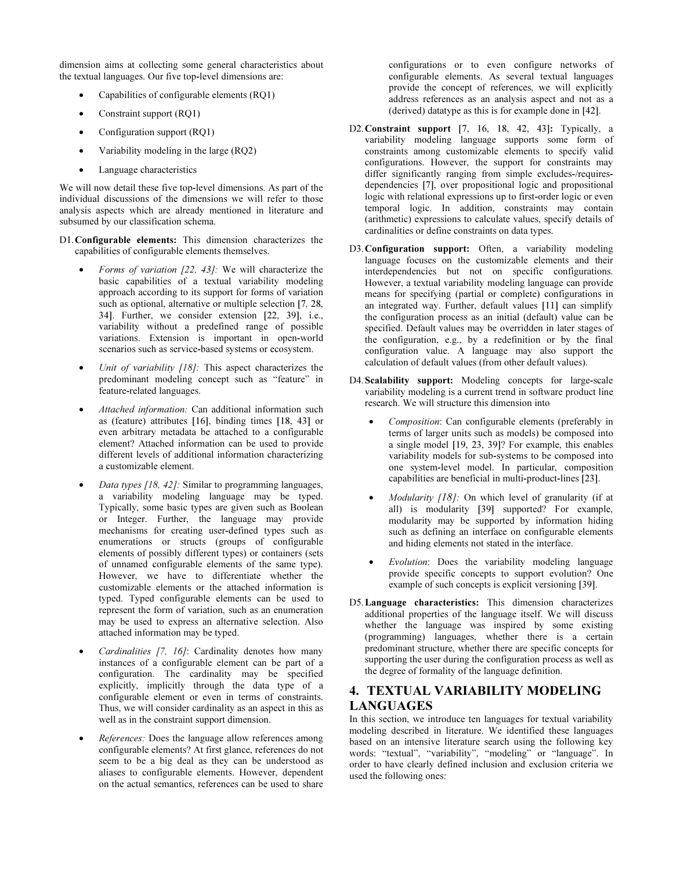dimension aims at collecting some general characteristics about the textual languages. Our five top-level dimensions are:

- Capabilities of configurable elements (RQ1)
- Constraint support (RQ1)
- Configuration support (RQ1)
- Variability modeling in the large (RQ2)
- Language characteristics

We will now detail these five top-level dimensions. As part of the individual discussions of the dimensions we will refer to those analysis aspects which are already mentioned in literature and subsumed by our classification schema.

D1.Configurable elements: This dimension characterizes the capabilities of configurable elements themselves.

- *Forms of variation [22, 43]:* We will characterize the basic capabilities of a textual variability modeling approach according to its support for forms of variation such as optional, alternative or multiple selection [7*,* 28, 34]. Further, we consider extension [22, 39], i.e., variability without a predefined range of possible variations. Extension is important in open-world scenarios such as service-based systems or ecosystem.
- *Unit of variability [18]:* This aspect characterizes the predominant modeling concept such as "feature" in feature-related languages.
- *Attached information:* Can additional information such as (feature) attributes [16], binding times [18, 43] or even arbitrary metadata be attached to a configurable element? Attached information can be used to provide different levels of additional information characterizing a customizable element.
- *Data types [18, 42]:* Similar to programming languages, a variability modeling language may be typed. Typically, some basic types are given such as Boolean or Integer. Further, the language may provide mechanisms for creating user-defined types such as enumerations or structs (groups of configurable elements of possibly different types) or containers (sets of unnamed configurable elements of the same type). However, we have to differentiate whether the customizable elements or the attached information is typed. Typed configurable elements can be used to represent the form of variation, such as an enumeration may be used to express an alternative selection. Also attached information may be typed.
- *Cardinalities [7, 16]*: Cardinality denotes how many instances of a configurable element can be part of a configuration. The cardinality may be specified explicitly, implicitly through the data type of a configurable element or even in terms of constraints. Thus, we will consider cardinality as an aspect in this as well as in the constraint support dimension.
- *References:* Does the language allow references among configurable elements? At first glance, references do not seem to be a big deal as they can be understood as aliases to configurable elements. However, dependent on the actual semantics, references can be used to share

configurations or to even configure networks of configurable elements. As several textual languages provide the concept of references, we will explicitly address references as an analysis aspect and not as a (derived) datatype as this is for example done in [42].

- D2.Constraint support [7, 16, 18, 42, 43]: Typically, a variability modeling language supports some form of constraints among customizable elements to specify valid configurations. However, the support for constraints may differ significantly ranging from simple excludes-/requiresdependencies [7], over propositional logic and propositional logic with relational expressions up to first-order logic or even temporal logic. In addition, constraints may contain (arithmetic) expressions to calculate values, specify details of cardinalities or define constraints on data types.
- D3. Configuration support: Often, a variability modeling language focuses on the customizable elements and their interdependencies but not on specific configurations. However, a textual variability modeling language can provide means for specifying (partial or complete) configurations in an integrated way. Further, default values [11] can simplify the configuration process as an initial (default) value can be specified. Default values may be overridden in later stages of the configuration, e.g., by a redefinition or by the final configuration value. A language may also support the calculation of default values (from other default values).
- D4. Scalability support: Modeling concepts for large-scale variability modeling is a current trend in software product line research. We will structure this dimension into
	- *Composition*: Can configurable elements (preferably in terms of larger units such as models) be composed into a single model [19, 23, 39]? For example, this enables variability models for sub-systems to be composed into one system-level model. In particular, composition capabilities are beneficial in multi-product-lines [23].
	- *Modularity [*18*]:* On which level of granularity (if at all) is modularity [39] supported? For example, modularity may be supported by information hiding such as defining an interface on configurable elements and hiding elements not stated in the interface.
	- *Evolution*: Does the variability modeling language provide specific concepts to support evolution? One example of such concepts is explicit versioning [39].
- D5.Language characteristics: This dimension characterizes additional properties of the language itself. We will discuss whether the language was inspired by some existing (programming) languages, whether there is a certain predominant structure, whether there are specific concepts for supporting the user during the configuration process as well as the degree of formality of the language definition.

## 4. TEXTUAL VARIABILITY MODELING LANGUAGES

In this section, we introduce ten languages for textual variability modeling described in literature. We identified these languages based on an intensive literature search using the following key words: "textual", "variability", "modeling" or "language". In order to have clearly defined inclusion and exclusion criteria we used the following ones: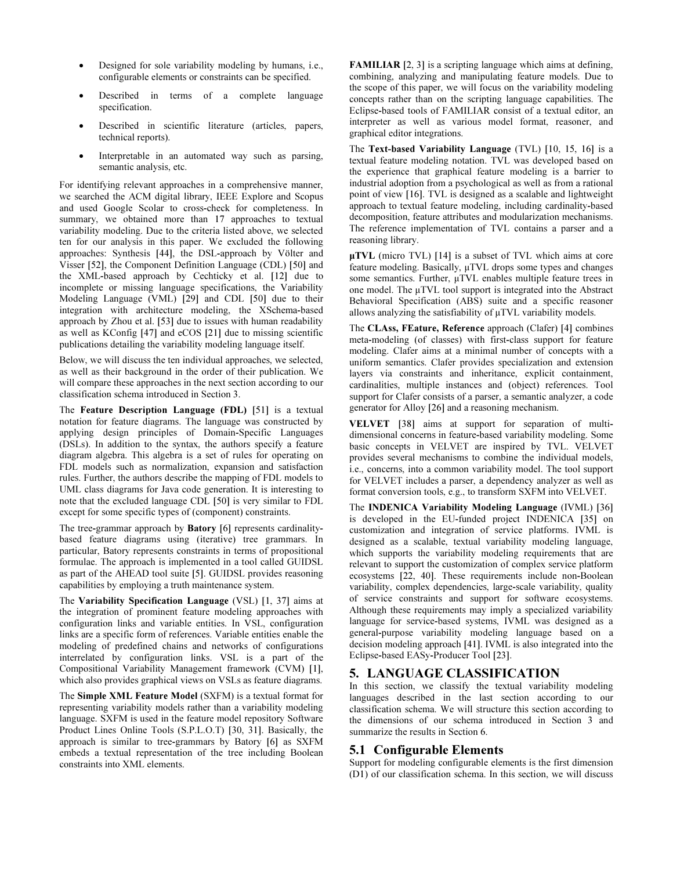- Designed for sole variability modeling by humans, i.e., configurable elements or constraints can be specified.
- Described in terms of a complete language specification.
- Described in scientific literature (articles, papers, technical reports).
- Interpretable in an automated way such as parsing, semantic analysis, etc.

For identifying relevant approaches in a comprehensive manner, we searched the ACM digital library, IEEE Explore and Scopus and used Google Scolar to cross-check for completeness. In summary, we obtained more than 17 approaches to textual variability modeling. Due to the criteria listed above, we selected ten for our analysis in this paper. We excluded the following approaches: Synthesis [44], the DSL-approach by Völter and Visser [52], the Component Definition Language (CDL) [50] and the XML-based approach by Cechticky et al. [12] due to incomplete or missing language specifications, the Variability Modeling Language (VML) [29] and CDL [50] due to their integration with architecture modeling, the XSchema-based approach by Zhou et al. [53] due to issues with human readability as well as KConfig [47] and eCOS [21] due to missing scientific publications detailing the variability modeling language itself.

Below, we will discuss the ten individual approaches, we selected, as well as their background in the order of their publication. We will compare these approaches in the next section according to our classification schema introduced in Section 3.

The Feature Description Language (FDL) [51] is a textual notation for feature diagrams. The language was constructed by applying design principles of Domain-Specific Languages (DSLs). In addition to the syntax, the authors specify a feature diagram algebra. This algebra is a set of rules for operating on FDL models such as normalization, expansion and satisfaction rules. Further, the authors describe the mapping of FDL models to UML class diagrams for Java code generation. It is interesting to note that the excluded language CDL [50] is very similar to FDL except for some specific types of (component) constraints.

The tree-grammar approach by Batory [6] represents cardinalitybased feature diagrams using (iterative) tree grammars. In particular, Batory represents constraints in terms of propositional formulae. The approach is implemented in a tool called GUIDSL as part of the AHEAD tool suite [5]. GUIDSL provides reasoning capabilities by employing a truth maintenance system.

The Variability Specification Language (VSL) [1, 37] aims at the integration of prominent feature modeling approaches with configuration links and variable entities. In VSL, configuration links are a specific form of references. Variable entities enable the modeling of predefined chains and networks of configurations interrelated by configuration links. VSL is a part of the Compositional Variability Management framework (CVM) [1], which also provides graphical views on VSLs as feature diagrams.

The Simple XML Feature Model (SXFM) is a textual format for representing variability models rather than a variability modeling language. SXFM is used in the feature model repository Software Product Lines Online Tools (S.P.L.O.T) [30, 31]. Basically, the approach is similar to tree-grammars by Batory [6] as SXFM embeds a textual representation of the tree including Boolean constraints into XML elements.

FAMILIAR [2, 3] is a scripting language which aims at defining, combining, analyzing and manipulating feature models. Due to the scope of this paper, we will focus on the variability modeling concepts rather than on the scripting language capabilities. The Eclipse-based tools of FAMILIAR consist of a textual editor, an interpreter as well as various model format, reasoner, and graphical editor integrations.

The Text-based Variability Language (TVL) [10, 15, 16] is a textual feature modeling notation. TVL was developed based on the experience that graphical feature modeling is a barrier to industrial adoption from a psychological as well as from a rational point of view [16]. TVL is designed as a scalable and lightweight approach to textual feature modeling, including cardinality-based decomposition, feature attributes and modularization mechanisms. The reference implementation of TVL contains a parser and a reasoning library.

µTVL (micro TVL) [14] is a subset of TVL which aims at core feature modeling. Basically, µTVL drops some types and changes some semantics. Further,  $\mu$ TVL enables multiple feature trees in one model. The µTVL tool support is integrated into the Abstract Behavioral Specification (ABS) suite and a specific reasoner allows analyzing the satisfiability of  $\mu$ TVL variability models.

The CLAss, FEature, Reference approach (Clafer) [4] combines meta-modeling (of classes) with first-class support for feature modeling. Clafer aims at a minimal number of concepts with a uniform semantics. Clafer provides specialization and extension layers via constraints and inheritance, explicit containment, cardinalities, multiple instances and (object) references. Tool support for Clafer consists of a parser, a semantic analyzer, a code generator for Alloy [26] and a reasoning mechanism.

VELVET [38] aims at support for separation of multidimensional concerns in feature-based variability modeling. Some basic concepts in VELVET are inspired by TVL. VELVET provides several mechanisms to combine the individual models, i.e., concerns, into a common variability model. The tool support for VELVET includes a parser, a dependency analyzer as well as format conversion tools, e.g., to transform SXFM into VELVET.

The INDENICA Variability Modeling Language (IVML) [36] is developed in the EU-funded project INDENICA [35] on customization and integration of service platforms. IVML is designed as a scalable, textual variability modeling language, which supports the variability modeling requirements that are relevant to support the customization of complex service platform ecosystems [22, 40]. These requirements include non-Boolean variability, complex dependencies, large-scale variability, quality of service constraints and support for software ecosystems. Although these requirements may imply a specialized variability language for service-based systems, IVML was designed as a general-purpose variability modeling language based on a decision modeling approach [41]. IVML is also integrated into the Eclipse-based EASy-Producer Tool [23].

#### 5. LANGUAGE CLASSIFICATION

In this section, we classify the textual variability modeling languages described in the last section according to our classification schema. We will structure this section according to the dimensions of our schema introduced in Section 3 and summarize the results in Section 6.

#### 5.1 Configurable Elements

Support for modeling configurable elements is the first dimension (D1) of our classification schema. In this section, we will discuss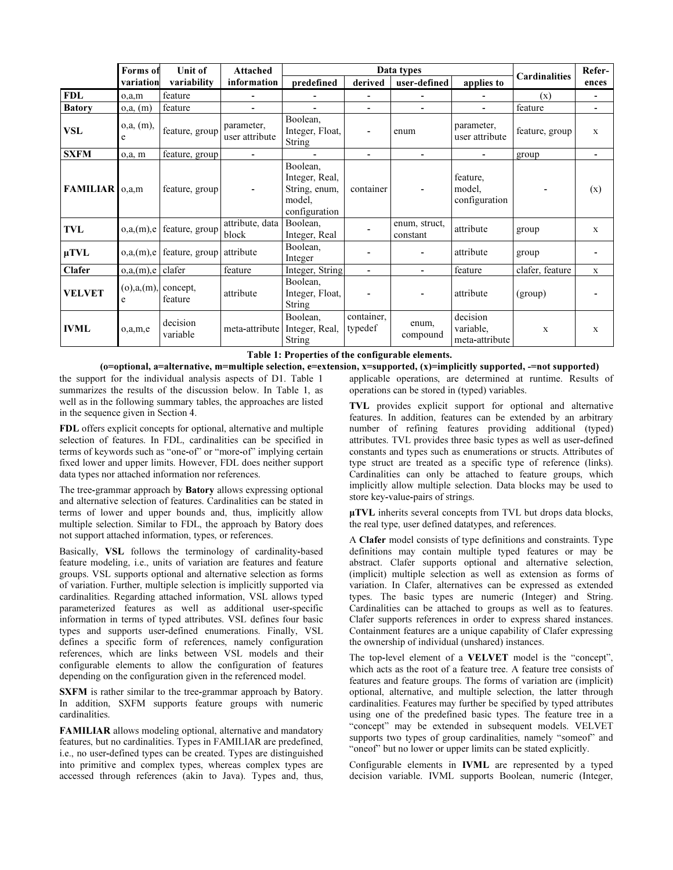|                | Forms of           | Unit of              | Attached                     | Data types                                                             |                       |                           |                                         | Refer-          |                          |
|----------------|--------------------|----------------------|------------------------------|------------------------------------------------------------------------|-----------------------|---------------------------|-----------------------------------------|-----------------|--------------------------|
|                | variation          | variability          | information                  | predefined                                                             | derived               | user-defined              | applies to                              | Cardinalities   | ences                    |
| <b>FDL</b>     | 0.a.m              | feature              |                              |                                                                        |                       |                           |                                         | (x)             |                          |
| <b>Batory</b>  | o, a, (m)          | feature              |                              |                                                                        |                       | ۰                         |                                         | feature         | ٠                        |
| VSL            | $o, a, (m)$ ,<br>e | feature, group       | parameter,<br>user attribute | Boolean,<br>Integer, Float,<br>String                                  |                       | enum                      | parameter,<br>user attribute            | feature, group  | X                        |
| <b>SXFM</b>    | 0, a, m            | feature, group       | $\overline{\phantom{a}}$     | $\overline{\phantom{a}}$                                               | $\blacksquare$        | $\sim$                    | $\overline{\phantom{a}}$                | group           | $\overline{\phantom{a}}$ |
| FAMILIAR 0,a,m |                    | feature, group       |                              | Boolean.<br>Integer, Real,<br>String, enum,<br>model.<br>configuration | container             |                           | feature.<br>model,<br>configuration     |                 | (x)                      |
| TVL            | o,a,(m),e          | feature, group       | attribute, data<br>block     | Boolean,<br>Integer, Real                                              |                       | enum, struct,<br>constant | attribute                               | group           | $\mathbf{x}$             |
| $\mu$ TVL      | o,a,(m),e          | feature, group       | attribute                    | Boolean.<br>Integer                                                    |                       | ۰                         | attribute                               | group           |                          |
| Clafer         | $o,a,(m),e$ clafer |                      | feature                      | Integer, String                                                        |                       |                           | feature                                 | clafer, feature | $\mathbf{x}$             |
| <b>VELVET</b>  | (o), a, (m),<br>e  | concept,<br>feature  | attribute                    | Boolean.<br>Integer, Float,<br><b>String</b>                           |                       |                           | attribute                               | (group)         |                          |
| <b>IVML</b>    | o.a.m.e            | decision<br>variable | meta-attribute               | Boolean.<br>Integer, Real,<br><b>String</b>                            | container,<br>typedef | enum,<br>compound         | decision<br>variable.<br>meta-attribute | $\mathbf{x}$    | $\mathbf{x}$             |

Table 1: Properties of the configurable elements.

#### (o=optional, a=alternative, m=multiple selection, e=extension, x=supported, (x)=implicitly supported, -=not supported)

the support for the individual analysis aspects of D1. Table 1 summarizes the results of the discussion below. In Table 1, as well as in the following summary tables, the approaches are listed in the sequence given in Section 4.

FDL offers explicit concepts for optional, alternative and multiple selection of features. In FDL, cardinalities can be specified in terms of keywords such as "one-of" or "more-of" implying certain fixed lower and upper limits. However, FDL does neither support data types nor attached information nor references.

The tree-grammar approach by Batory allows expressing optional and alternative selection of features. Cardinalities can be stated in terms of lower and upper bounds and, thus, implicitly allow multiple selection. Similar to FDL, the approach by Batory does not support attached information, types, or references.

Basically, VSL follows the terminology of cardinality-based feature modeling, i.e., units of variation are features and feature groups. VSL supports optional and alternative selection as forms of variation. Further, multiple selection is implicitly supported via cardinalities. Regarding attached information, VSL allows typed parameterized features as well as additional user-specific information in terms of typed attributes. VSL defines four basic types and supports user-defined enumerations. Finally, VSL defines a specific form of references, namely configuration references, which are links between VSL models and their configurable elements to allow the configuration of features depending on the configuration given in the referenced model.

SXFM is rather similar to the tree-grammar approach by Batory. In addition, SXFM supports feature groups with numeric cardinalities.

FAMILIAR allows modeling optional, alternative and mandatory features, but no cardinalities. Types in FAMILIAR are predefined, i.e., no user-defined types can be created. Types are distinguished into primitive and complex types, whereas complex types are accessed through references (akin to Java). Types and, thus, applicable operations, are determined at runtime. Results of operations can be stored in (typed) variables.

TVL provides explicit support for optional and alternative features. In addition, features can be extended by an arbitrary number of refining features providing additional (typed) attributes. TVL provides three basic types as well as user-defined constants and types such as enumerations or structs. Attributes of type struct are treated as a specific type of reference (links). Cardinalities can only be attached to feature groups, which implicitly allow multiple selection. Data blocks may be used to store key-value-pairs of strings.

µTVL inherits several concepts from TVL but drops data blocks, the real type, user defined datatypes, and references.

A Clafer model consists of type definitions and constraints. Type definitions may contain multiple typed features or may be abstract. Clafer supports optional and alternative selection, (implicit) multiple selection as well as extension as forms of variation. In Clafer, alternatives can be expressed as extended types. The basic types are numeric (Integer) and String. Cardinalities can be attached to groups as well as to features. Clafer supports references in order to express shared instances. Containment features are a unique capability of Clafer expressing the ownership of individual (unshared) instances.

The top-level element of a VELVET model is the "concept", which acts as the root of a feature tree. A feature tree consists of features and feature groups. The forms of variation are (implicit) optional, alternative, and multiple selection, the latter through cardinalities. Features may further be specified by typed attributes using one of the predefined basic types. The feature tree in a "concept" may be extended in subsequent models. VELVET supports two types of group cardinalities, namely "someof" and "oneof" but no lower or upper limits can be stated explicitly.

Configurable elements in IVML are represented by a typed decision variable. IVML supports Boolean, numeric (Integer,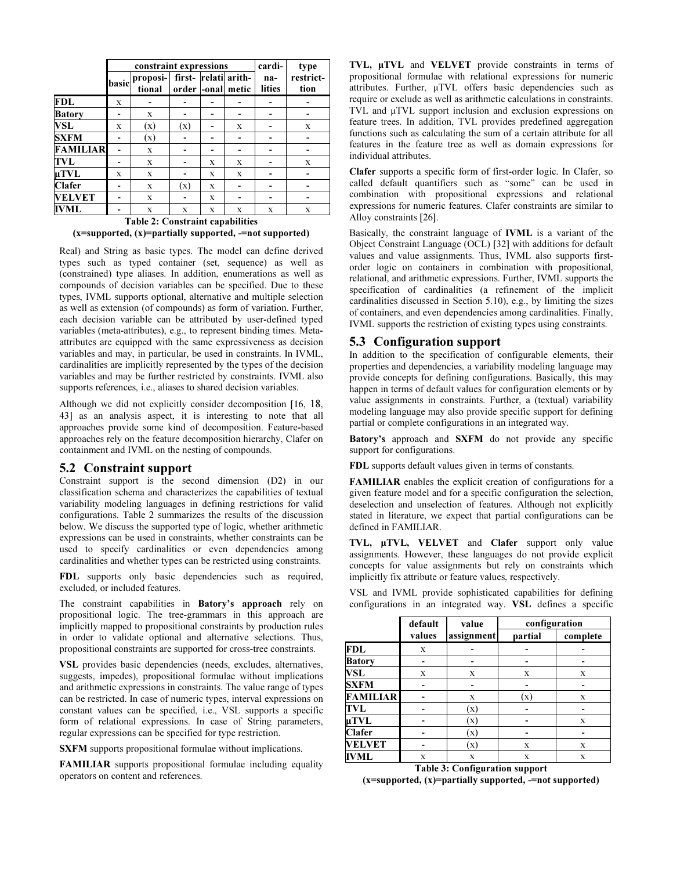|                                         | constraint expressions |                    |     |   | cardi-                                    | type          |                   |
|-----------------------------------------|------------------------|--------------------|-----|---|-------------------------------------------|---------------|-------------------|
|                                         | basic                  | proposi-<br>tional |     |   | first- relati arith-<br>order -onal metic | na-<br>lities | restrict-<br>tion |
| <b>FDL</b>                              | X                      |                    |     |   |                                           |               |                   |
| <b>Batory</b>                           |                        | X                  |     |   |                                           |               |                   |
| VSL                                     | X                      | (x)                | (x) |   | X                                         |               | X                 |
| <b>SXFM</b>                             |                        | (x)                |     |   |                                           |               |                   |
| <b>FAMILIAR</b>                         |                        | X                  |     |   |                                           |               |                   |
| TVL                                     |                        | X                  |     | X | X                                         |               | X                 |
| uTVL                                    | X                      | X                  |     | X | X                                         |               |                   |
| <b>Clafer</b>                           |                        | X                  | (x) | X |                                           |               |                   |
| <b>VELVET</b>                           |                        | X                  |     | X | -                                         |               |                   |
| IVML                                    |                        | X                  | X   | X | X                                         | X             | X                 |
| <b>Table 2: Constraint capabilities</b> |                        |                    |     |   |                                           |               |                   |

#### (x=supported, (x)=partially supported, -=not supported)

Real) and String as basic types. The model can define derived types such as typed container (set, sequence) as well as (constrained) type aliases. In addition, enumerations as well as compounds of decision variables can be specified. Due to these types, IVML supports optional, alternative and multiple selection as well as extension (of compounds) as form of variation. Further, each decision variable can be attributed by user-defined typed variables (meta-attributes), e.g., to represent binding times. Metaattributes are equipped with the same expressiveness as decision variables and may, in particular, be used in constraints. In IVML, cardinalities are implicitly represented by the types of the decision variables and may be further restricted by constraints. IVML also supports references, i.e., aliases to shared decision variables.

Although we did not explicitly consider decomposition [16, 18, 43] as an analysis aspect, it is interesting to note that all approaches provide some kind of decomposition. Feature-based approaches rely on the feature decomposition hierarchy, Clafer on containment and IVML on the nesting of compounds.

#### 5.2 Constraint support

Constraint support is the second dimension (D2) in our classification schema and characterizes the capabilities of textual variability modeling languages in defining restrictions for valid configurations. Table 2 summarizes the results of the discussion below. We discuss the supported type of logic, whether arithmetic expressions can be used in constraints, whether constraints can be used to specify cardinalities or even dependencies among cardinalities and whether types can be restricted using constraints.

FDL supports only basic dependencies such as required, excluded, or included features.

The constraint capabilities in Batory's approach rely on propositional logic. The tree-grammars in this approach are implicitly mapped to propositional constraints by production rules in order to validate optional and alternative selections. Thus, propositional constraints are supported for cross-tree constraints.

VSL provides basic dependencies (needs, excludes, alternatives, suggests, impedes), propositional formulae without implications and arithmetic expressions in constraints. The value range of types can be restricted. In case of numeric types, interval expressions on constant values can be specified, i.e., VSL supports a specific form of relational expressions. In case of String parameters, regular expressions can be specified for type restriction.

SXFM supports propositional formulae without implications.

FAMILIAR supports propositional formulae including equality operators on content and references.

TVL, µTVL and VELVET provide constraints in terms of propositional formulae with relational expressions for numeric attributes. Further, µTVL offers basic dependencies such as require or exclude as well as arithmetic calculations in constraints. TVL and µTVL support inclusion and exclusion expressions on feature trees. In addition, TVL provides predefined aggregation functions such as calculating the sum of a certain attribute for all features in the feature tree as well as domain expressions for individual attributes.

Clafer supports a specific form of first-order logic. In Clafer, so called default quantifiers such as "some" can be used in combination with propositional expressions and relational expressions for numeric features. Clafer constraints are similar to Alloy constraints [26].

Basically, the constraint language of IVML is a variant of the Object Constraint Language (OCL) [32] with additions for default values and value assignments. Thus, IVML also supports firstorder logic on containers in combination with propositional, relational, and arithmetic expressions. Further, IVML supports the specification of cardinalities (a refinement of the implicit cardinalities discussed in Section 5.10), e.g., by limiting the sizes of containers, and even dependencies among cardinalities. Finally, IVML supports the restriction of existing types using constraints.

#### 5.3 Configuration support

In addition to the specification of configurable elements, their properties and dependencies, a variability modeling language may provide concepts for defining configurations. Basically, this may happen in terms of default values for configuration elements or by value assignments in constraints. Further, a (textual) variability modeling language may also provide specific support for defining partial or complete configurations in an integrated way.

Batory's approach and SXFM do not provide any specific support for configurations.

FDL supports default values given in terms of constants.

FAMILIAR enables the explicit creation of configurations for a given feature model and for a specific configuration the selection, deselection and unselection of features. Although not explicitly stated in literature, we expect that partial configurations can be defined in FAMILIAR.

TVL, µTVL, VELVET and Clafer support only value assignments. However, these languages do not provide explicit concepts for value assignments but rely on constraints which implicitly fix attribute or feature values, respectively.

VSL and IVML provide sophisticated capabilities for defining configurations in an integrated way. VSL defines a specific

|                 | default | value      | configuration |          |  |
|-----------------|---------|------------|---------------|----------|--|
|                 | values  | assignment | partial       | complete |  |
| FDL             | X       |            |               |          |  |
| <b>Batory</b>   |         |            |               |          |  |
| VSL             | X       | X          | X             | X        |  |
| SXFM            |         |            |               |          |  |
| <b>FAMILIAR</b> |         | X          | (x)           | X        |  |
| TVL             |         | (x)        |               |          |  |
| μTVL            |         | (x)        |               | X        |  |
| Clafer          |         | (x)        |               |          |  |
| VELVET          |         | (x)        | X             | X        |  |
| IVML            | X       | X          | X             | X        |  |

| Table 3: Configuration support                          |  |  |  |  |  |
|---------------------------------------------------------|--|--|--|--|--|
| (x=supported, (x)=partially supported, -=not supported) |  |  |  |  |  |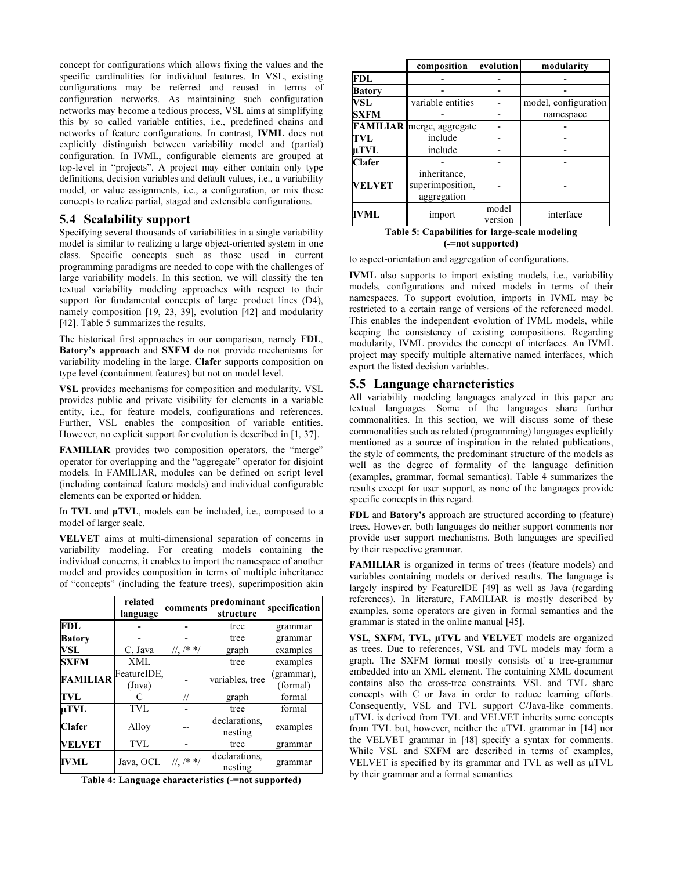concept for configurations which allows fixing the values and the specific cardinalities for individual features. In VSL, existing configurations may be referred and reused in terms of configuration networks. As maintaining such configuration networks may become a tedious process, VSL aims at simplifying this by so called variable entities, i.e., predefined chains and networks of feature configurations. In contrast, IVML does not explicitly distinguish between variability model and (partial) configuration. In IVML, configurable elements are grouped at top-level in "projects". A project may either contain only type definitions, decision variables and default values, i.e., a variability model, or value assignments, i.e., a configuration, or mix these concepts to realize partial, staged and extensible configurations.

#### 5.4 Scalability support

Specifying several thousands of variabilities in a single variability model is similar to realizing a large object-oriented system in one class. Specific concepts such as those used in current programming paradigms are needed to cope with the challenges of large variability models. In this section, we will classify the ten textual variability modeling approaches with respect to their support for fundamental concepts of large product lines (D4), namely composition [19, 23, 39], evolution [42] and modularity [42]. Table 5 summarizes the results.

The historical first approaches in our comparison, namely FDL, Batory's approach and SXFM do not provide mechanisms for variability modeling in the large. Clafer supports composition on type level (containment features) but not on model level.

VSL provides mechanisms for composition and modularity. VSL provides public and private visibility for elements in a variable entity, i.e., for feature models, configurations and references. Further, VSL enables the composition of variable entities. However, no explicit support for evolution is described in [1, 37].

FAMILIAR provides two composition operators, the "merge" operator for overlapping and the "aggregate" operator for disjoint models. In FAMILIAR, modules can be defined on script level (including contained feature models) and individual configurable elements can be exported or hidden.

In TVL and µTVL, models can be included, i.e., composed to a model of larger scale.

VELVET aims at multi-dimensional separation of concerns in variability modeling. For creating models containing the individual concerns, it enables to import the namespace of another model and provides composition in terms of multiple inheritance of "concepts" (including the feature trees), superimposition akin

|                 | related<br>language   | comments            | predominant<br>structure | specification          |  |
|-----------------|-----------------------|---------------------|--------------------------|------------------------|--|
| <b>FDL</b>      |                       |                     | tree                     | grammar                |  |
| <b>Batory</b>   |                       |                     | tree                     | grammar                |  |
| VSL             | C, Java               | $\frac{1}{2}$ /* */ | graph                    | examples               |  |
| <b>SXFM</b>     | <b>XML</b>            |                     | tree                     | examples               |  |
| <b>FAMILIAR</b> | FeatureIDE.<br>(Java) |                     | variables, tree          | (grammar).<br>(formal) |  |
| TVL             | C                     | $^{\prime\prime}$   | graph                    | formal                 |  |
| uTVL            | <b>TVL</b>            |                     | tree                     | formal                 |  |
| Clafer          | Alloy                 |                     | declarations.<br>nesting | examples               |  |
| VELVET          | <b>TVL</b>            |                     | tree                     | grammar                |  |
| <b>IVML</b>     | Java, OCL             | $\frac{1}{2}$ /* */ | declarations.<br>nesting | grammar                |  |

Table 4: Language characteristics (-=not supported)

|                 | composition                                     | evolution        | modularity           |
|-----------------|-------------------------------------------------|------------------|----------------------|
| FDL             |                                                 |                  |                      |
| <b>Batory</b>   |                                                 |                  |                      |
| VSL             | variable entities                               |                  | model, configuration |
| <b>SXFM</b>     |                                                 |                  | namespace            |
| <b>FAMILIAR</b> | merge, aggregate                                |                  |                      |
| TVL             | include                                         |                  |                      |
| uTVL            | include                                         |                  |                      |
| Clafer          |                                                 |                  |                      |
| <b>VELVET</b>   | inheritance,<br>superimposition,<br>aggregation |                  |                      |
| IVML            | import                                          | model<br>version | interface            |

Table 5: Capabilities for large-scale modeling (-=not supported)

to aspect-orientation and aggregation of configurations.

IVML also supports to import existing models, i.e., variability models, configurations and mixed models in terms of their namespaces. To support evolution, imports in IVML may be restricted to a certain range of versions of the referenced model. This enables the independent evolution of IVML models, while keeping the consistency of existing compositions. Regarding modularity, IVML provides the concept of interfaces. An IVML project may specify multiple alternative named interfaces, which export the listed decision variables.

#### 5.5 Language characteristics

All variability modeling languages analyzed in this paper are textual languages. Some of the languages share further commonalities. In this section, we will discuss some of these commonalities such as related (programming) languages explicitly mentioned as a source of inspiration in the related publications, the style of comments, the predominant structure of the models as well as the degree of formality of the language definition (examples, grammar, formal semantics). Table 4 summarizes the results except for user support, as none of the languages provide specific concepts in this regard.

FDL and Batory's approach are structured according to (feature) trees. However, both languages do neither support comments nor provide user support mechanisms. Both languages are specified by their respective grammar.

FAMILIAR is organized in terms of trees (feature models) and variables containing models or derived results. The language is largely inspired by FeatureIDE [49] as well as Java (regarding references). In literature, FAMILIAR is mostly described by examples, some operators are given in formal semantics and the grammar is stated in the online manual [45].

VSL, SXFM, TVL, µTVL and VELVET models are organized as trees. Due to references, VSL and TVL models may form a graph. The SXFM format mostly consists of a tree-grammar embedded into an XML element. The containing XML document contains also the cross-tree constraints. VSL and TVL share concepts with C or Java in order to reduce learning efforts. Consequently, VSL and TVL support C/Java-like comments. µTVL is derived from TVL and VELVET inherits some concepts from TVL but, however, neither the µTVL grammar in [14] nor the VELVET grammar in [48] specify a syntax for comments. While VSL and SXFM are described in terms of examples, VELVET is specified by its grammar and TVL as well as µTVL by their grammar and a formal semantics.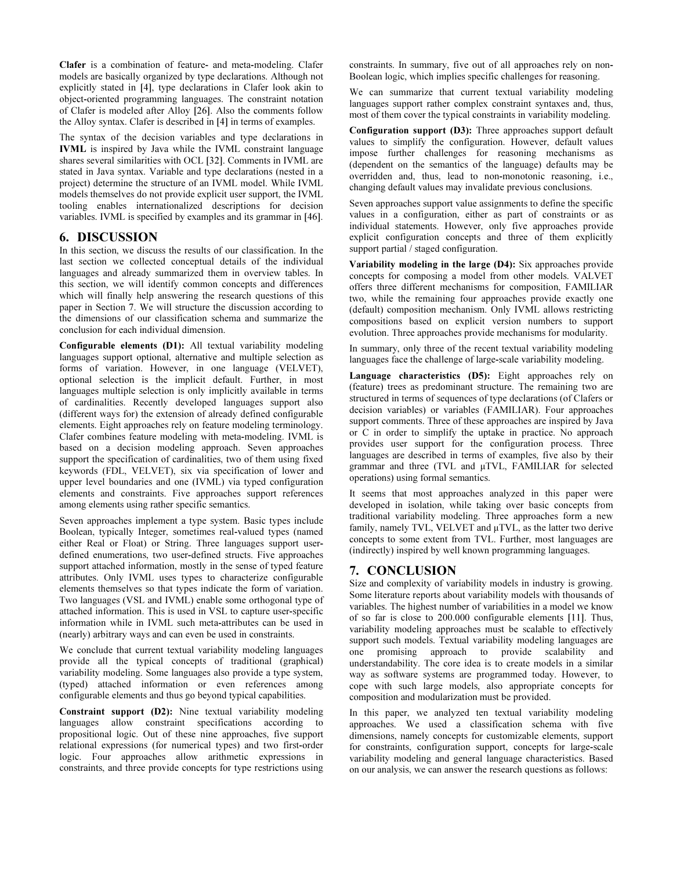Clafer is a combination of feature- and meta-modeling. Clafer models are basically organized by type declarations. Although not explicitly stated in [4], type declarations in Clafer look akin to object-oriented programming languages. The constraint notation of Clafer is modeled after Alloy [26]. Also the comments follow the Alloy syntax. Clafer is described in [4] in terms of examples.

The syntax of the decision variables and type declarations in IVML is inspired by Java while the IVML constraint language shares several similarities with OCL [32]. Comments in IVML are stated in Java syntax. Variable and type declarations (nested in a project) determine the structure of an IVML model. While IVML models themselves do not provide explicit user support, the IVML tooling enables internationalized descriptions for decision variables. IVML is specified by examples and its grammar in [46].

### 6. DISCUSSION

In this section, we discuss the results of our classification. In the last section we collected conceptual details of the individual languages and already summarized them in overview tables. In this section, we will identify common concepts and differences which will finally help answering the research questions of this paper in Section 7. We will structure the discussion according to the dimensions of our classification schema and summarize the conclusion for each individual dimension.

Configurable elements (D1): All textual variability modeling languages support optional, alternative and multiple selection as forms of variation. However, in one language (VELVET), optional selection is the implicit default. Further, in most languages multiple selection is only implicitly available in terms of cardinalities. Recently developed languages support also (different ways for) the extension of already defined configurable elements. Eight approaches rely on feature modeling terminology. Clafer combines feature modeling with meta-modeling. IVML is based on a decision modeling approach. Seven approaches support the specification of cardinalities, two of them using fixed keywords (FDL, VELVET), six via specification of lower and upper level boundaries and one (IVML) via typed configuration elements and constraints. Five approaches support references among elements using rather specific semantics.

Seven approaches implement a type system. Basic types include Boolean, typically Integer, sometimes real-valued types (named either Real or Float) or String. Three languages support userdefined enumerations, two user-defined structs. Five approaches support attached information, mostly in the sense of typed feature attributes. Only IVML uses types to characterize configurable elements themselves so that types indicate the form of variation. Two languages (VSL and IVML) enable some orthogonal type of attached information. This is used in VSL to capture user-specific information while in IVML such meta-attributes can be used in (nearly) arbitrary ways and can even be used in constraints.

We conclude that current textual variability modeling languages provide all the typical concepts of traditional (graphical) variability modeling. Some languages also provide a type system, (typed) attached information or even references among configurable elements and thus go beyond typical capabilities.

Constraint support (D2): Nine textual variability modeling languages allow constraint specifications according to propositional logic. Out of these nine approaches, five support relational expressions (for numerical types) and two first-order logic. Four approaches allow arithmetic expressions in constraints, and three provide concepts for type restrictions using constraints. In summary, five out of all approaches rely on non-Boolean logic, which implies specific challenges for reasoning.

We can summarize that current textual variability modeling languages support rather complex constraint syntaxes and, thus, most of them cover the typical constraints in variability modeling.

Configuration support (D3): Three approaches support default values to simplify the configuration. However, default values impose further challenges for reasoning mechanisms as (dependent on the semantics of the language) defaults may be overridden and, thus, lead to non-monotonic reasoning, i.e., changing default values may invalidate previous conclusions.

Seven approaches support value assignments to define the specific values in a configuration, either as part of constraints or as individual statements. However, only five approaches provide explicit configuration concepts and three of them explicitly support partial / staged configuration.

Variability modeling in the large (D4): Six approaches provide concepts for composing a model from other models. VALVET offers three different mechanisms for composition, FAMILIAR two, while the remaining four approaches provide exactly one (default) composition mechanism. Only IVML allows restricting compositions based on explicit version numbers to support evolution. Three approaches provide mechanisms for modularity.

In summary, only three of the recent textual variability modeling languages face the challenge of large-scale variability modeling.

Language characteristics (D5): Eight approaches rely on (feature) trees as predominant structure. The remaining two are structured in terms of sequences of type declarations (of Clafers or decision variables) or variables (FAMILIAR). Four approaches support comments. Three of these approaches are inspired by Java or C in order to simplify the uptake in practice. No approach provides user support for the configuration process. Three languages are described in terms of examples, five also by their grammar and three (TVL and µTVL, FAMILIAR for selected operations) using formal semantics.

It seems that most approaches analyzed in this paper were developed in isolation, while taking over basic concepts from traditional variability modeling. Three approaches form a new family, namely TVL, VELVET and µTVL, as the latter two derive concepts to some extent from TVL. Further, most languages are (indirectly) inspired by well known programming languages.

## 7. CONCLUSION

Size and complexity of variability models in industry is growing. Some literature reports about variability models with thousands of variables. The highest number of variabilities in a model we know of so far is close to 200.000 configurable elements [11]. Thus, variability modeling approaches must be scalable to effectively support such models. Textual variability modeling languages are one promising approach to provide scalability and understandability. The core idea is to create models in a similar way as software systems are programmed today. However, to cope with such large models, also appropriate concepts for composition and modularization must be provided.

In this paper, we analyzed ten textual variability modeling approaches. We used a classification schema with five dimensions, namely concepts for customizable elements, support for constraints, configuration support, concepts for large-scale variability modeling and general language characteristics. Based on our analysis, we can answer the research questions as follows: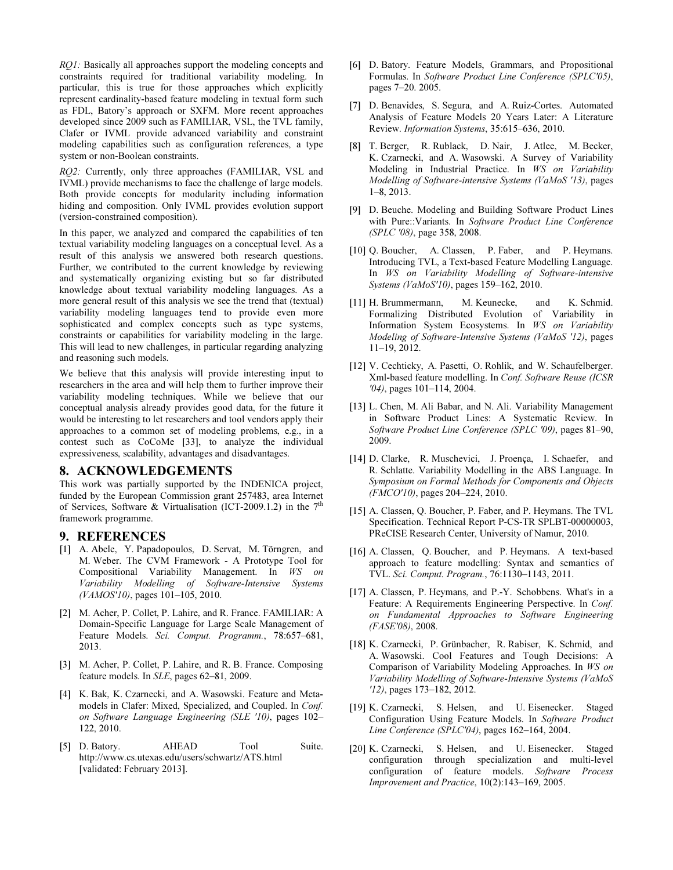*RQ1*: Basically all approaches support the modeling concepts and constraints required for traditional variability modeling. In particular, this is true for those approaches which explicitly represent cardinality-based feature modeling in textual form such as FDL, Batory's approach or SXFM. More recent approaches developed since 2009 such as FAMILIAR, VSL, the TVL family, Clafer or IVML provide advanced variability and constraint modeling capabilities such as configuration references, a type system or non-Boolean constraints.

*RQ2:* Currently, only three approaches (FAMILIAR, VSL and IVML) provide mechanisms to face the challenge of large models. Both provide concepts for modularity including information hiding and composition. Only IVML provides evolution support (version-constrained composition).

In this paper, we analyzed and compared the capabilities of ten textual variability modeling languages on a conceptual level. As a result of this analysis we answered both research questions. Further, we contributed to the current knowledge by reviewing and systematically organizing existing but so far distributed knowledge about textual variability modeling languages. As a more general result of this analysis we see the trend that (textual) variability modeling languages tend to provide even more sophisticated and complex concepts such as type systems, constraints or capabilities for variability modeling in the large. This will lead to new challenges, in particular regarding analyzing and reasoning such models.

We believe that this analysis will provide interesting input to researchers in the area and will help them to further improve their variability modeling techniques. While we believe that our conceptual analysis already provides good data, for the future it would be interesting to let researchers and tool vendors apply their approaches to a common set of modeling problems, e.g., in a contest such as CoCoMe [33], to analyze the individual expressiveness, scalability, advantages and disadvantages.

#### 8. ACKNOWLEDGEMENTS

This work was partially supported by the INDENICA project, funded by the European Commission grant 257483, area Internet of Services, Software & Virtualisation (ICT-2009.1.2) in the  $7<sup>th</sup>$ framework programme.

#### 9. REFERENCES

- [1] A. Abele, Y. Papadopoulos, D. Servat, M. Törngren, and M. Weber. The CVM Framework - A Prototype Tool for Compositional Variability Management. In *WS on Variability Modelling of Software-Intensive Systems (VAMOS'10)*, pages 101–105, 2010.
- [2] M. Acher, P. Collet, P. Lahire, and R. France. FAMILIAR: A Domain-Specific Language for Large Scale Management of Feature Models. *Sci. Comput. Programm.*, 78:657–681, 2013.
- [3] M. Acher, P. Collet, P. Lahire, and R. B. France. Composing feature models. In *SLE*, pages 62–81, 2009.
- [4] K. Bak, K. Czarnecki, and A. Wasowski. Feature and Metamodels in Clafer: Mixed, Specialized, and Coupled. In *Conf. on Software Language Engineering (SLE '10)*, pages 102– 122, 2010.
- [5] D. Batory. AHEAD Tool Suite. http://www.cs.utexas.edu/users/schwartz/ATS.html [validated: February 2013].
- [6] D. Batory. Feature Models, Grammars, and Propositional Formulas. In *Software Product Line Conference (SPLC'05)*, pages 7–20. 2005.
- [7] D. Benavides, S. Segura, and A. Ruiz-Cortes. Automated Analysis of Feature Models 20 Years Later: A Literature Review. *Information Systems*, 35:615–636, 2010.
- [8] T. Berger, R. Rublack, D. Nair, J. Atlee, M. Becker, K. Czarnecki, and A. Wasowski. A Survey of Variability Modeling in Industrial Practice. In *WS on Variability Modelling of Software-intensive Systems (VaMoS '13)*, pages 1–8, 2013.
- [9] D. Beuche. Modeling and Building Software Product Lines with Pure::Variants. In *Software Product Line Conference (SPLC '08)*, page 358, 2008.
- [10] Q. Boucher, A. Classen, P. Faber, and P. Heymans. Introducing TVL, a Text-based Feature Modelling Language. In *WS on Variability Modelling of Software-intensive Systems (VaMoS'10)*, pages 159–162, 2010.
- [11] H. Brummermann, M. Keunecke, and K. Schmid. Formalizing Distributed Evolution Information System Ecosystems. In *WS on Variability Modeling of Software-Intensive Systems (VaMoS '12)*, pages 11–19, 2012.
- [12] V. Cechticky, A. Pasetti, O. Rohlik, and W. Schaufelberger. Xml-based feature modelling. In *Conf. Software Reuse (ICSR '04)*, pages 101–114, 2004.
- [13] L. Chen, M. Ali Babar, and N. Ali. Variability Management in Software Product Lines: A Systematic Review. In *Software Product Line Conference (SPLC '09)*, pages 81–90, 2009.
- [14] D. Clarke, R. Muschevici, J. Proença, I. Schaefer, and R. Schlatte. Variability Modelling in the ABS Language. In *Symposium on Formal Methods for Components and Objects (FMCO'10)*, pages 204–224, 2010.
- [15] A. Classen, Q. Boucher, P. Faber, and P. Heymans. The TVL Specification. Technical Report P-CS-TR SPLBT-00000003, PReCISE Research Center, University of Namur, 2010.
- [16] A. Classen, Q. Boucher, and P. Heymans. A text-based approach to feature modelling: Syntax and semantics of TVL. *Sci. Comput. Program.*, 76:1130–1143, 2011.
- [17] A. Classen, P. Heymans, and P.-Y. Schobbens. What's in a Feature: A Requirements Engineering Perspective. In *Conf. on Fundamental Approaches to Software Engineering (FASE'08)*, 2008.
- [18] K. Czarnecki, P. Grünbacher, R. Rabiser, K. Schmid, and A. Wasowski. Cool Features and Tough Decisions: A Comparison of Variability Modeling Approaches. In *WS on Variability Modelling of Software-Intensive Systems (VaMoS '12)*, pages 173–182, 2012.
- [19] K. Czarnecki, S. Helsen, and U. Eisenecker. Staged Configuration Using Feature Models. In *Software Product Line Conference (SPLC'04)*, pages 162–164, 2004.
- [20] K. Czarnecki, S. Helsen, and U. Eisenecker. Staged through specialization and multi-level configuration of feature models. *Software Process Improvement and Practice*, 10(2):143–169, 2005.